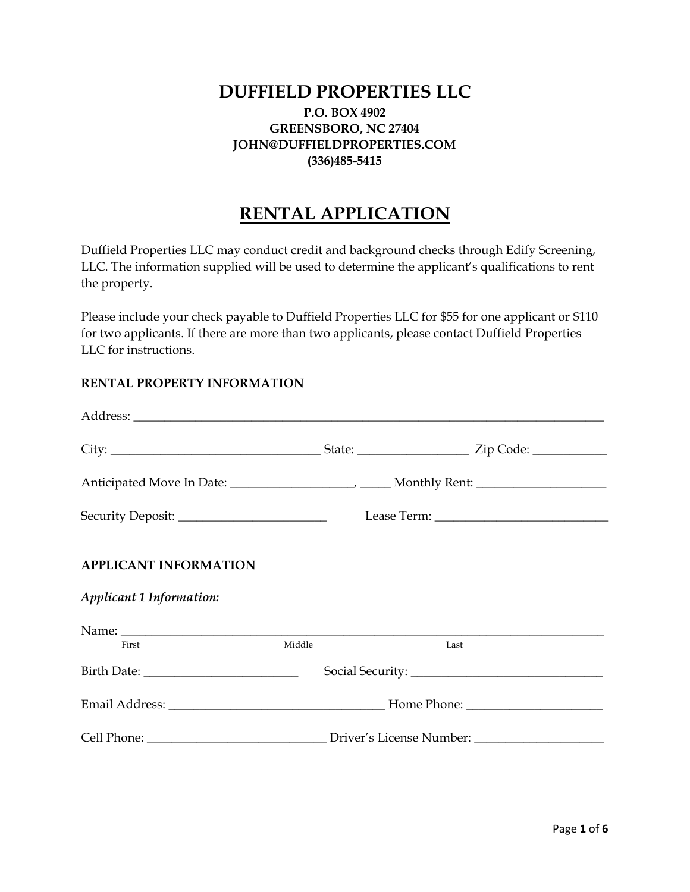## **DUFFIELD PROPERTIES LLC P.O. BOX 4902 GREENSBORO, NC 27404 JOHN@DUFFIELDPROPERTIES.COM**

#### **(336)485-5415**

# **RENTAL APPLICATION**

Duffield Properties LLC may conduct credit and background checks through Edify Screening, LLC. The information supplied will be used to determine the applicant's qualifications to rent the property.

Please include your check payable to Duffield Properties LLC for \$55 for one applicant or \$110 for two applicants. If there are more than two applicants, please contact Duffield Properties LLC for instructions.

#### **RENTAL PROPERTY INFORMATION**

| <b>APPLICANT INFORMATION</b><br>Applicant 1 Information: |        |      |  |
|----------------------------------------------------------|--------|------|--|
|                                                          |        |      |  |
| First                                                    | Middle | Last |  |
|                                                          |        |      |  |
|                                                          |        |      |  |
|                                                          |        |      |  |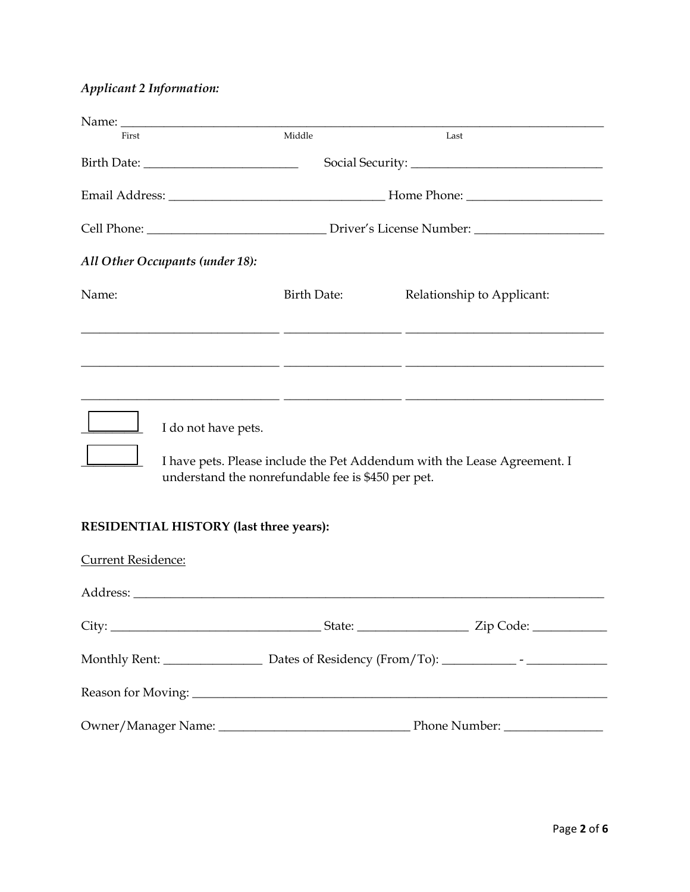## *Applicant 2 Information:*

| First                                              | Middle             | Last                                                                     |  |
|----------------------------------------------------|--------------------|--------------------------------------------------------------------------|--|
|                                                    |                    |                                                                          |  |
|                                                    |                    |                                                                          |  |
|                                                    |                    |                                                                          |  |
| All Other Occupants (under 18):                    |                    |                                                                          |  |
| Name:                                              | <b>Birth Date:</b> | Relationship to Applicant:                                               |  |
|                                                    |                    |                                                                          |  |
|                                                    |                    | <u> 1999 - Johann Harry Louis, amerikan bernama (h. 1989).</u>           |  |
| I do not have pets.                                |                    |                                                                          |  |
| understand the nonrefundable fee is \$450 per pet. |                    | I have pets. Please include the Pet Addendum with the Lease Agreement. I |  |
| RESIDENTIAL HISTORY (last three years):            |                    |                                                                          |  |
| <b>Current Residence:</b>                          |                    |                                                                          |  |
|                                                    |                    |                                                                          |  |
|                                                    |                    |                                                                          |  |
|                                                    |                    |                                                                          |  |
|                                                    |                    |                                                                          |  |
|                                                    |                    |                                                                          |  |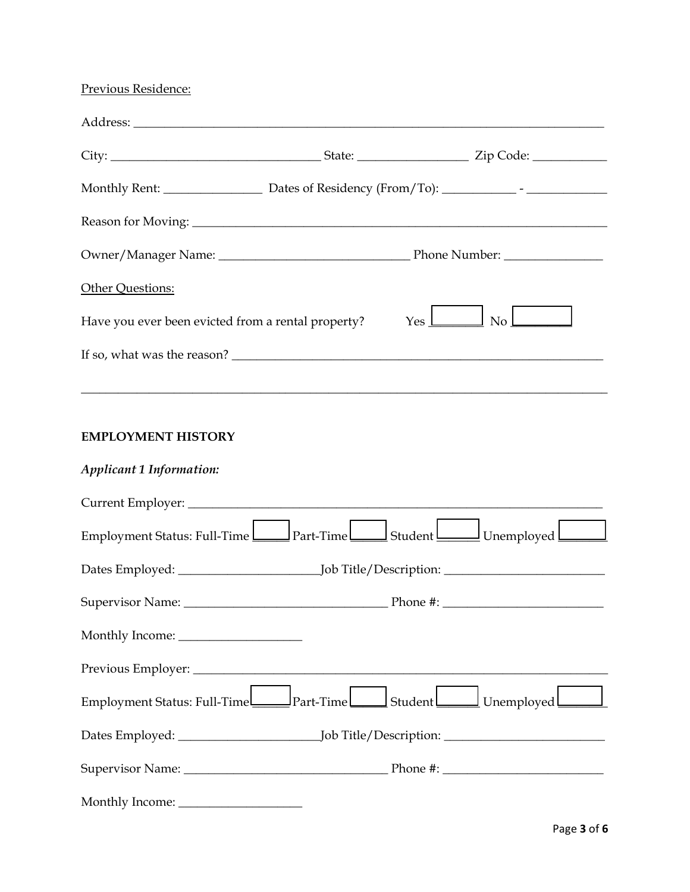## Previous Residence:

|                                                    | Monthly Rent: _______________________ Dates of Residency (From/To): ________________________________ |
|----------------------------------------------------|------------------------------------------------------------------------------------------------------|
|                                                    |                                                                                                      |
|                                                    |                                                                                                      |
| Other Questions:                                   |                                                                                                      |
| Have you ever been evicted from a rental property? | $\overline{\text{No}}$ $\overline{\phantom{a}}$<br>$Yes \perp$                                       |
| If so, what was the reason?                        |                                                                                                      |
|                                                    |                                                                                                      |

 $\_$  , and the set of the set of the set of the set of the set of the set of the set of the set of the set of the set of the set of the set of the set of the set of the set of the set of the set of the set of the set of th

## **EMPLOYMENT HISTORY**

### *Applicant 1 Information:*

| Employment Status: Full-Time Part-Time Student Status Lumployed   |  |
|-------------------------------------------------------------------|--|
|                                                                   |  |
|                                                                   |  |
|                                                                   |  |
|                                                                   |  |
| Employment Status: Full-Time Part-Time Student Student Unemployed |  |
|                                                                   |  |
|                                                                   |  |
|                                                                   |  |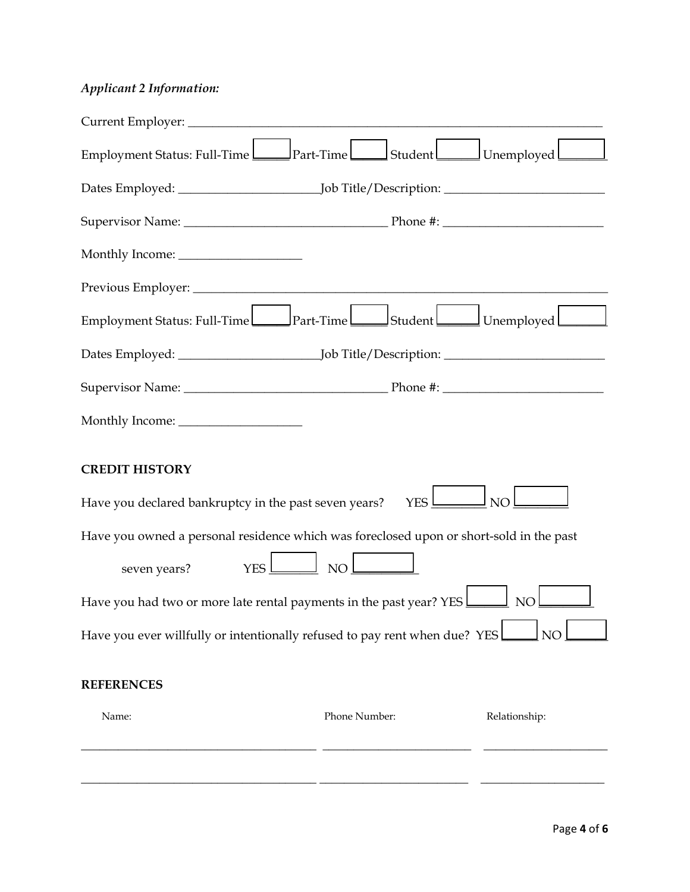## *Applicant 2 Information:*

| Employment Status: Full-Time Part-Time Student Student Unemployed                       |                        |                 |
|-----------------------------------------------------------------------------------------|------------------------|-----------------|
|                                                                                         |                        |                 |
|                                                                                         |                        |                 |
|                                                                                         |                        |                 |
|                                                                                         |                        |                 |
| Employment Status: Full-Time Part-Time Student Status: Full-Time                        |                        |                 |
|                                                                                         |                        |                 |
|                                                                                         |                        |                 |
|                                                                                         |                        |                 |
| <b>CREDIT HISTORY</b><br>Have you declared bankruptcy in the past seven years?          | $YES$ $\Box$           | NO <sub>1</sub> |
| Have you owned a personal residence which was foreclosed upon or short-sold in the past |                        |                 |
| seven years?                                                                            | $YES$ $\Box$ NO $\Box$ |                 |
| Have you had two or more late rental payments in the past year? YES                     |                        | NO              |
| Have you ever willfully or intentionally refused to pay rent when due? YES!             |                        | NO              |
| <b>REFERENCES</b>                                                                       |                        |                 |
| Name:                                                                                   | Phone Number:          | Relationship:   |
|                                                                                         |                        |                 |
|                                                                                         |                        |                 |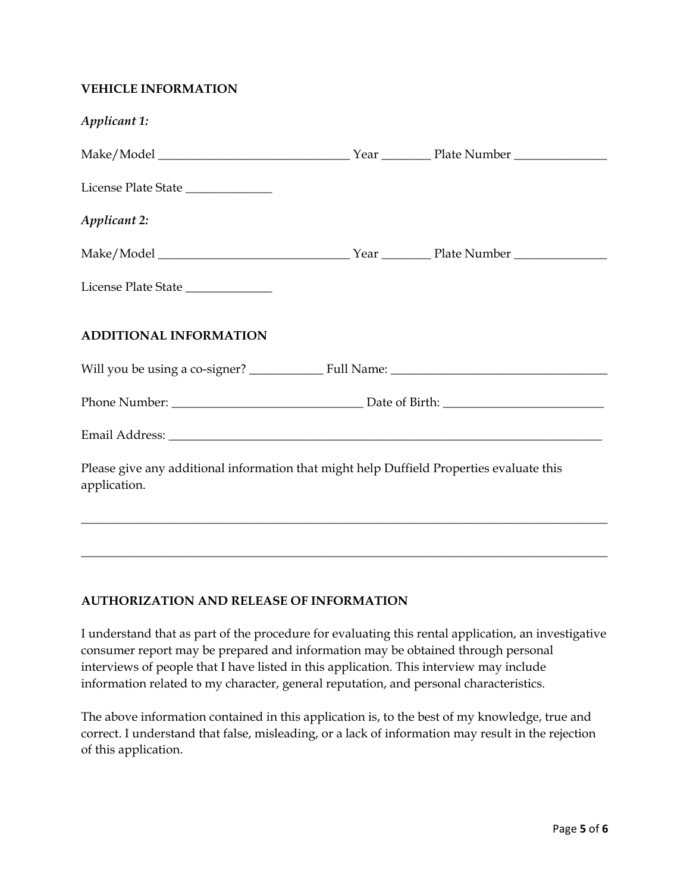#### **VEHICLE INFORMATION**

| Applicant 1:                                                                                             |  |  |
|----------------------------------------------------------------------------------------------------------|--|--|
|                                                                                                          |  |  |
| License Plate State                                                                                      |  |  |
| <b>Applicant 2:</b>                                                                                      |  |  |
|                                                                                                          |  |  |
| License Plate State                                                                                      |  |  |
| <b>ADDITIONAL INFORMATION</b>                                                                            |  |  |
|                                                                                                          |  |  |
|                                                                                                          |  |  |
|                                                                                                          |  |  |
| Please give any additional information that might help Duffield Properties evaluate this<br>application. |  |  |
|                                                                                                          |  |  |

### **AUTHORIZATION AND RELEASE OF INFORMATION**

I understand that as part of the procedure for evaluating this rental application, an investigative consumer report may be prepared and information may be obtained through personal interviews of people that I have listed in this application. This interview may include information related to my character, general reputation, and personal characteristics.

\_\_\_\_\_\_\_\_\_\_\_\_\_\_\_\_\_\_\_\_\_\_\_\_\_\_\_\_\_\_\_\_\_\_\_\_\_\_\_\_\_\_\_\_\_\_\_\_\_\_\_\_\_\_\_\_\_\_\_\_\_\_\_\_\_\_\_\_\_\_\_\_\_\_\_\_\_\_\_\_\_\_\_\_\_

The above information contained in this application is, to the best of my knowledge, true and correct. I understand that false, misleading, or a lack of information may result in the rejection of this application.